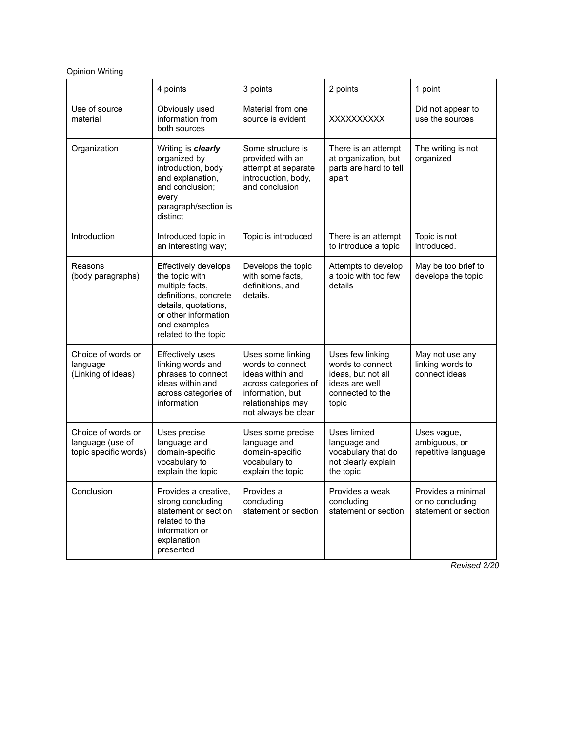## Opinion Writing

|                                                                 | 4 points                                                                                                                                                                   | 3 points                                                                                                                                          | 2 points                                                                                                  | 1 point                                                        |
|-----------------------------------------------------------------|----------------------------------------------------------------------------------------------------------------------------------------------------------------------------|---------------------------------------------------------------------------------------------------------------------------------------------------|-----------------------------------------------------------------------------------------------------------|----------------------------------------------------------------|
| Use of source<br>material                                       | Obviously used<br>information from<br>both sources                                                                                                                         | Material from one<br>source is evident                                                                                                            | XXXXXXXXX                                                                                                 | Did not appear to<br>use the sources                           |
| Organization                                                    | Writing is <b>clearly</b><br>organized by<br>introduction, body<br>and explanation,<br>and conclusion;<br>every<br>paragraph/section is<br>distinct                        | Some structure is<br>provided with an<br>attempt at separate<br>introduction, body,<br>and conclusion                                             | There is an attempt<br>at organization, but<br>parts are hard to tell<br>apart                            | The writing is not<br>organized                                |
| Introduction                                                    | Introduced topic in<br>an interesting way;                                                                                                                                 | Topic is introduced                                                                                                                               | There is an attempt<br>to introduce a topic                                                               | Topic is not<br>introduced.                                    |
| Reasons<br>(body paragraphs)                                    | Effectively develops<br>the topic with<br>multiple facts,<br>definitions, concrete<br>details, quotations,<br>or other information<br>and examples<br>related to the topic | Develops the topic<br>with some facts,<br>definitions, and<br>details.                                                                            | Attempts to develop<br>a topic with too few<br>details                                                    | May be too brief to<br>develope the topic                      |
| Choice of words or<br>language<br>(Linking of ideas)            | <b>Effectively uses</b><br>linking words and<br>phrases to connect<br>ideas within and<br>across categories of<br>information                                              | Uses some linking<br>words to connect<br>ideas within and<br>across categories of<br>information, but<br>relationships may<br>not always be clear | Uses few linking<br>words to connect<br>ideas, but not all<br>ideas are well<br>connected to the<br>topic | May not use any<br>linking words to<br>connect ideas           |
| Choice of words or<br>language (use of<br>topic specific words) | Uses precise<br>language and<br>domain-specific<br>vocabulary to<br>explain the topic                                                                                      | Uses some precise<br>language and<br>domain-specific<br>vocabulary to<br>explain the topic                                                        | Uses limited<br>language and<br>vocabulary that do<br>not clearly explain<br>the topic                    | Uses vague,<br>ambiguous, or<br>repetitive language            |
| Conclusion                                                      | Provides a creative,<br>strong concluding<br>statement or section<br>related to the<br>information or<br>explanation<br>presented                                          | Provides a<br>concluding<br>statement or section                                                                                                  | Provides a weak<br>concluding<br>statement or section                                                     | Provides a minimal<br>or no concluding<br>statement or section |

*Revised 2/20*